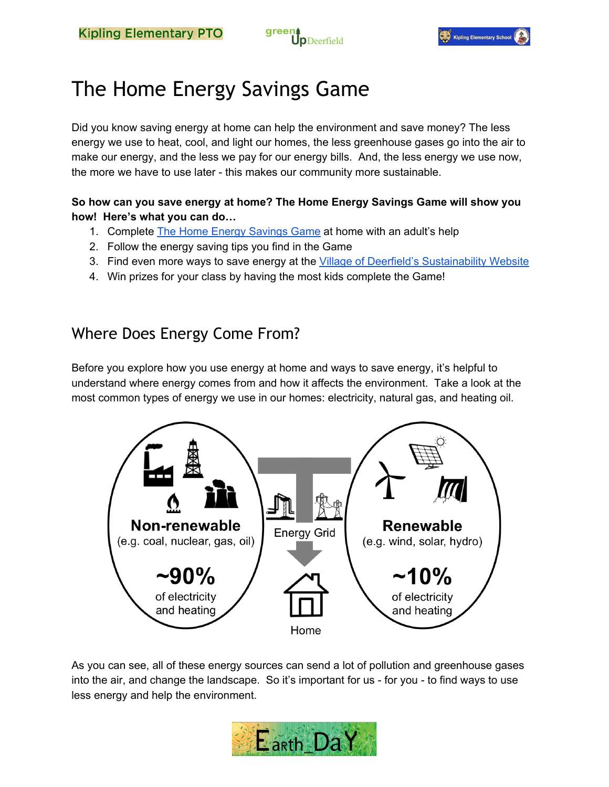



# The Home Energy Savings Game

Did you know saving energy at home can help the environment and save money? The less energy we use to heat, cool, and light our homes, the less greenhouse gases go into the air to make our energy, and the less we pay for our energy bills. And, the less energy we use now, the more we have to use later - this makes our community more sustainable.

#### **So how can you save energy at home? The Home Energy Savings Game will show you how! Here's what you can do…**

- 1. Complete The Home Energy [Savings](https://docs.google.com/forms/d/1QYa6_4koPdIQB3Mtegm77cwrVRBuO6uSL5VS19sHY28/viewform?usp=send_form) Game at home with an adult's help
- 2. Follow the energy saving tips you find in the Game
- 3. Find even more ways to save energy at the Village of Deerfield's [Sustainability](http://www.deerfield.il.us/KiplingSustainability) Website
- 4. Win prizes for your class by having the most kids complete the Game!

### Where Does Energy Come From?

Before you explore how you use energy at home and ways to save energy, it's helpful to understand where energy comes from and how it affects the environment. Take a look at the most common types of energy we use in our homes: electricity, natural gas, and heating oil.



As you can see, all of these energy sources can send a lot of pollution and greenhouse gases into the air, and change the landscape. So it's important for us - for you - to find ways to use less energy and help the environment.

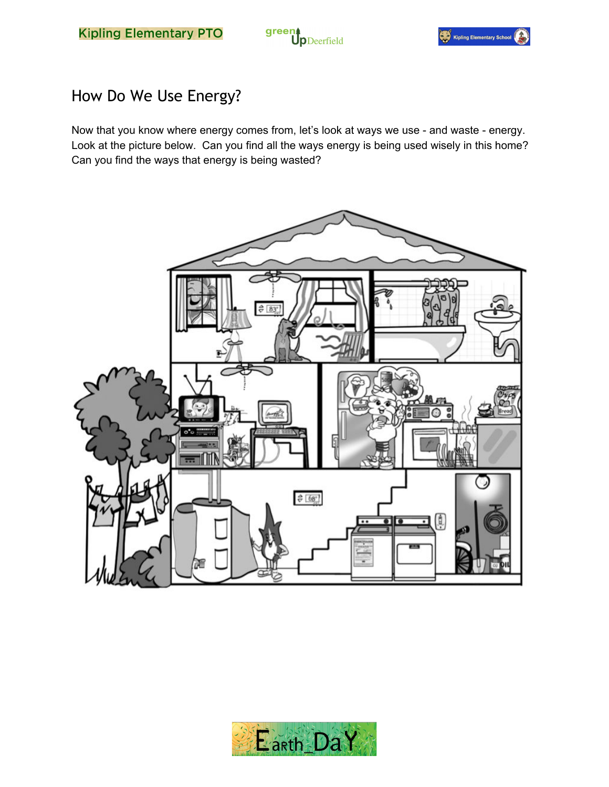



# How Do We Use Energy?

Now that you know where energy comes from, let's look at ways we use - and waste - energy. Look at the picture below. Can you find all the ways energy is being used wisely in this home? Can you find the ways that energy is being wasted?



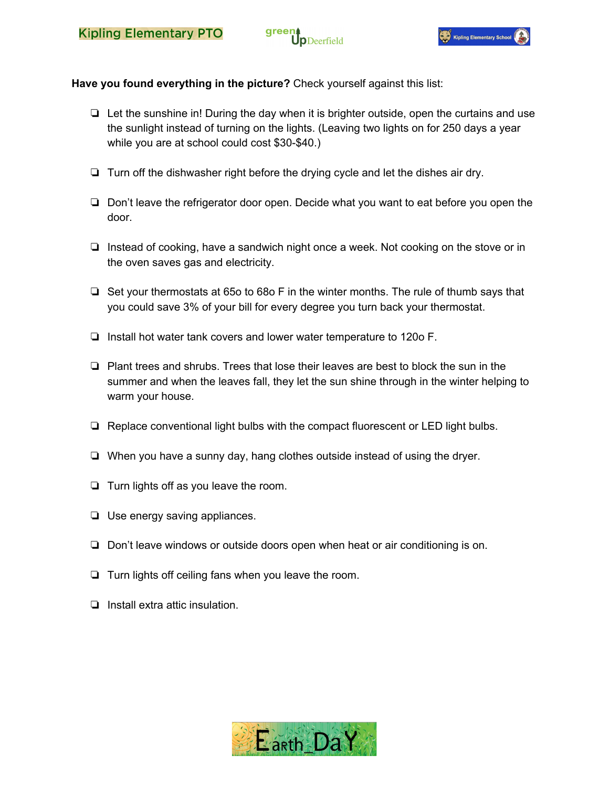



**Have you found everything in the picture?** Check yourself against this list:

- ❏ Let the sunshine in! During the day when it is brighter outside, open the curtains and use the sunlight instead of turning on the lights. (Leaving two lights on for 250 days a year while you are at school could cost \$30-\$40.)
- ❏ Turn off the dishwasher right before the drying cycle and let the dishes air dry.
- ❏ Don't leave the refrigerator door open. Decide what you want to eat before you open the door.
- ❏ Instead of cooking, have a sandwich night once a week. Not cooking on the stove or in the oven saves gas and electricity.
- ❏ Set your thermostats at 65o to 68o F in the winter months. The rule of thumb says that you could save 3% of your bill for every degree you turn back your thermostat.
- ❏ Install hot water tank covers and lower water temperature to 120o F.
- ❏ Plant trees and shrubs. Trees that lose their leaves are best to block the sun in the summer and when the leaves fall, they let the sun shine through in the winter helping to warm your house.
- ❏ Replace conventional light bulbs with the compact fluorescent or LED light bulbs.
- ❏ When you have a sunny day, hang clothes outside instead of using the dryer.
- ❏ Turn lights off as you leave the room.
- ❏ Use energy saving appliances.
- ❏ Don't leave windows or outside doors open when heat or air conditioning is on.
- ❏ Turn lights off ceiling fans when you leave the room.
- ❏ Install extra attic insulation.